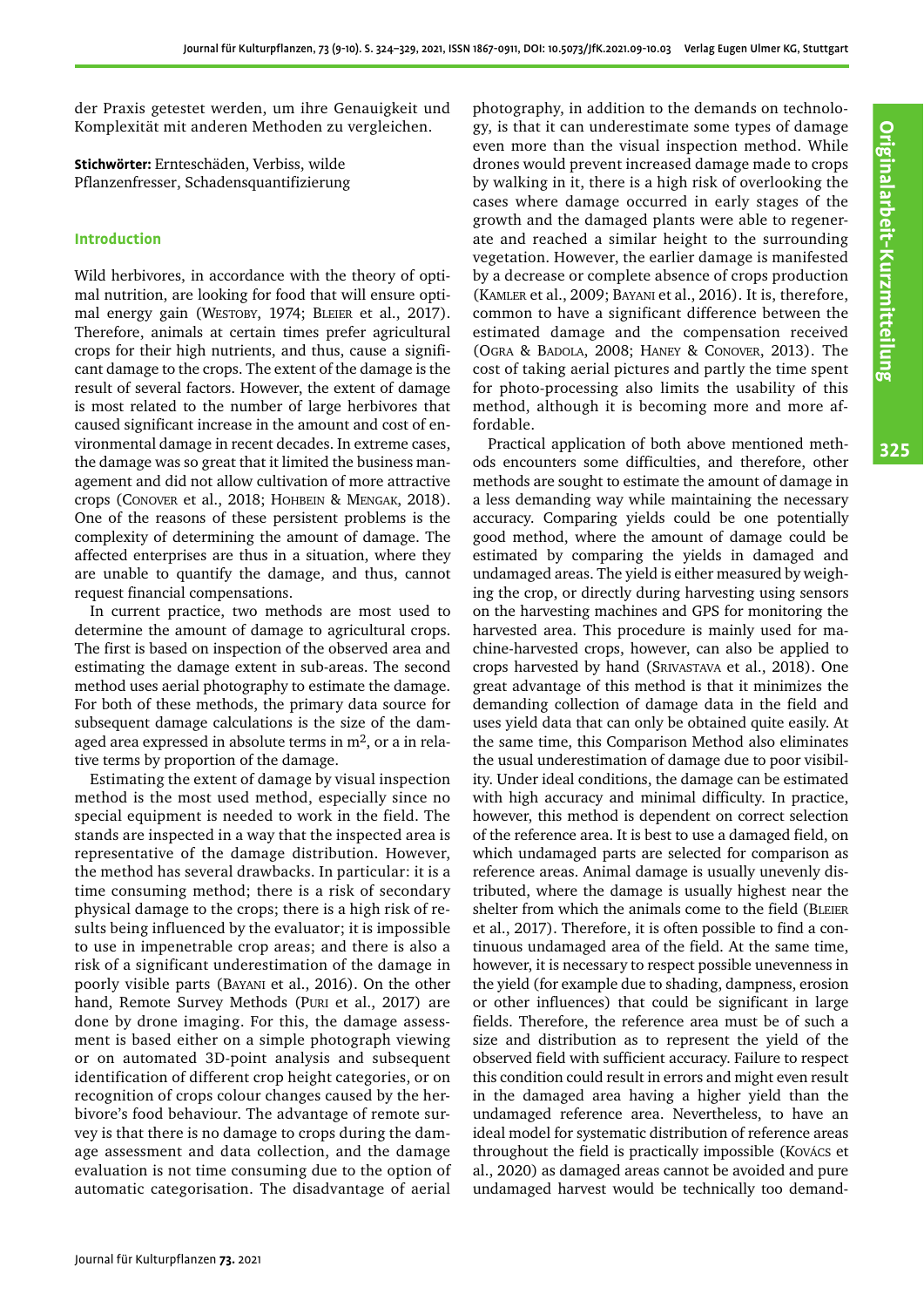325

der Praxis getestet werden, um ihre Genauigkeit und Komplexität mit anderen Methoden zu vergleichen.

**Stichwörter:** Ernteschäden, Verbiss, wilde Pflanzenfresser, Schadensquantifizierung

## **Introduction**

Wild herbivores, in accordance with the theory of optimal nutrition, are looking for food that will ensure optimal energy gain (WESTOBY, 1974; BLEIER et al., 2017). Therefore, animals at certain times prefer agricultural crops for their high nutrients, and thus, cause a significant damage to the crops. The extent of the damage is the result of several factors. However, the extent of damage is most related to the number of large herbivores that caused significant increase in the amount and cost of environmental damage in recent decades. In extreme cases, the damage was so great that it limited the business management and did not allow cultivation of more attractive crops (CONOVER et al., 2018; HOHBEIN & MENGAK, 2018). One of the reasons of these persistent problems is the complexity of determining the amount of damage. The affected enterprises are thus in a situation, where they are unable to quantify the damage, and thus, cannot request financial compensations.

In current practice, two methods are most used to determine the amount of damage to agricultural crops. The first is based on inspection of the observed area and estimating the damage extent in sub-areas. The second method uses aerial photography to estimate the damage. For both of these methods, the primary data source for subsequent damage calculations is the size of the damaged area expressed in absolute terms in  $m<sup>2</sup>$ , or a in relative terms by proportion of the damage.

Estimating the extent of damage by visual inspection method is the most used method, especially since no special equipment is needed to work in the field. The stands are inspected in a way that the inspected area is representative of the damage distribution. However, the method has several drawbacks. In particular: it is a time consuming method; there is a risk of secondary physical damage to the crops; there is a high risk of results being influenced by the evaluator; it is impossible to use in impenetrable crop areas; and there is also a risk of a significant underestimation of the damage in poorly visible parts (BAYANI et al., 2016). On the other hand, Remote Survey Methods (PURI et al., 2017) are done by drone imaging. For this, the damage assessment is based either on a simple photograph viewing or on automated 3D-point analysis and subsequent identification of different crop height categories, or on recognition of crops colour changes caused by the herbivore's food behaviour. The advantage of remote survey is that there is no damage to crops during the damage assessment and data collection, and the damage evaluation is not time consuming due to the option of automatic categorisation. The disadvantage of aerial photography, in addition to the demands on technology, is that it can underestimate some types of damage even more than the visual inspection method. While drones would prevent increased damage made to crops by walking in it, there is a high risk of overlooking the cases where damage occurred in early stages of the growth and the damaged plants were able to regenerate and reached a similar height to the surrounding vegetation. However, the earlier damage is manifested by a decrease or complete absence of crops production (KAMLER et al., 2009; BAYANI et al., 2016). It is, therefore, common to have a significant difference between the estimated damage and the compensation received (OGRA & BADOLA, 2008; HANEY & CONOVER, 2013). The cost of taking aerial pictures and partly the time spent for photo-processing also limits the usability of this method, although it is becoming more and more affordable.

Practical application of both above mentioned methods encounters some difficulties, and therefore, other methods are sought to estimate the amount of damage in a less demanding way while maintaining the necessary accuracy. Comparing yields could be one potentially good method, where the amount of damage could be estimated by comparing the yields in damaged and undamaged areas. The yield is either measured by weighing the crop, or directly during harvesting using sensors on the harvesting machines and GPS for monitoring the harvested area. This procedure is mainly used for machine-harvested crops, however, can also be applied to crops harvested by hand (SRIVASTAVA et al., 2018). One great advantage of this method is that it minimizes the demanding collection of damage data in the field and uses yield data that can only be obtained quite easily. At the same time, this Comparison Method also eliminates the usual underestimation of damage due to poor visibility. Under ideal conditions, the damage can be estimated with high accuracy and minimal difficulty. In practice, however, this method is dependent on correct selection of the reference area. It is best to use a damaged field, on which undamaged parts are selected for comparison as reference areas. Animal damage is usually unevenly distributed, where the damage is usually highest near the shelter from which the animals come to the field (BLEIER et al., 2017). Therefore, it is often possible to find a continuous undamaged area of the field. At the same time, however, it is necessary to respect possible unevenness in the yield (for example due to shading, dampness, erosion or other influences) that could be significant in large fields. Therefore, the reference area must be of such a size and distribution as to represent the yield of the observed field with sufficient accuracy. Failure to respect this condition could result in errors and might even result in the damaged area having a higher yield than the undamaged reference area. Nevertheless, to have an ideal model for systematic distribution of reference areas throughout the field is practically impossible (Kovács et al., 2020) as damaged areas cannot be avoided and pure undamaged harvest would be technically too demand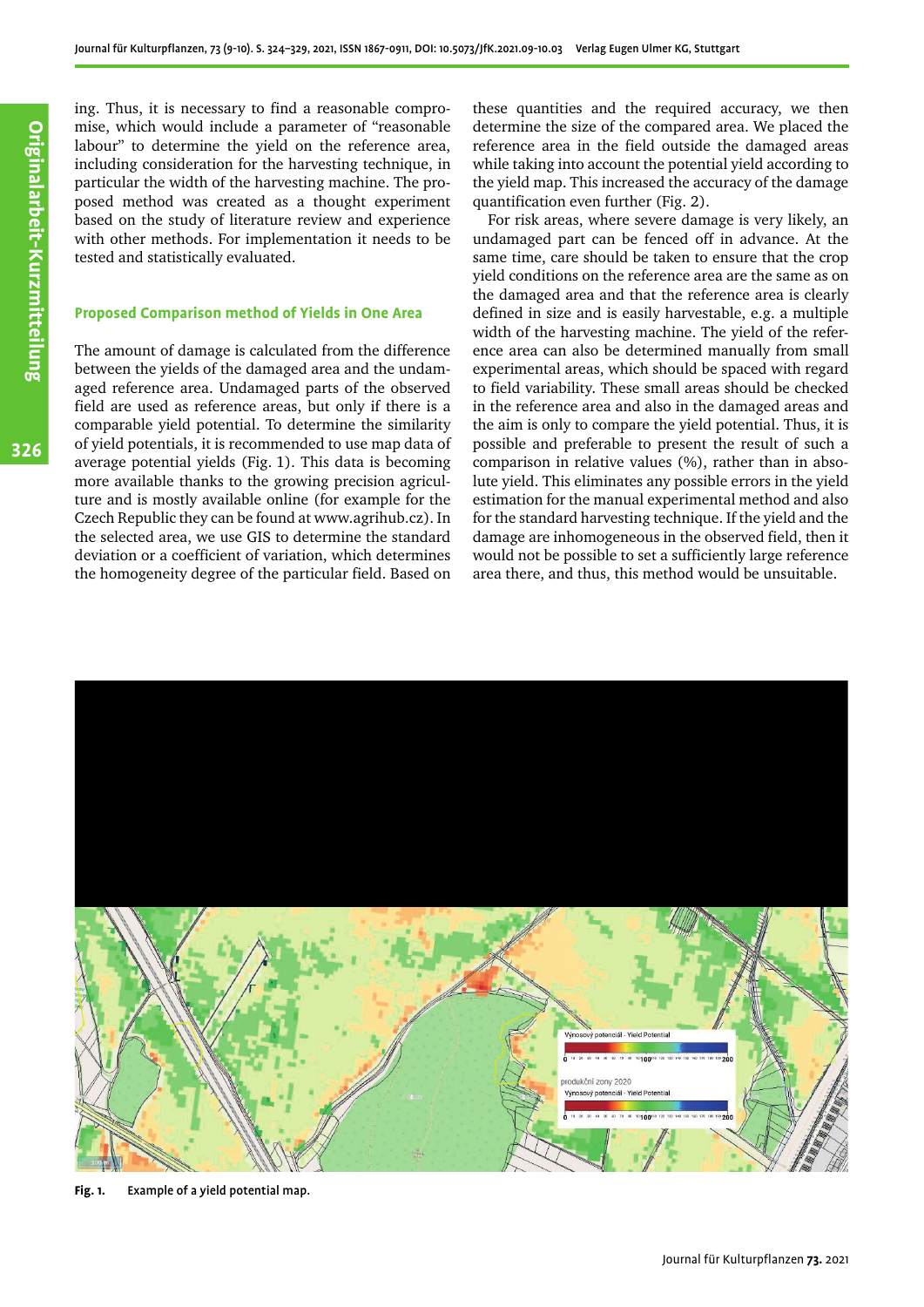ing. Thus, it is necessary to find a reasonable compromise, which would include a parameter of "reasonable labour" to determine the yield on the reference area, including consideration for the harvesting technique, in particular the width of the harvesting machine. The proposed method was created as a thought experiment based on the study of literature review and experience with other methods. For implementation it needs to be tested and statistically evaluated.

## **Proposed Comparison method of Yields in One Area**

<span id="page-2-0"></span>The amount of damage is calculated from the difference between the yields of the damaged area and the undamaged reference area. Undamaged parts of the observed field are used as reference areas, but only if there is a comparable yield potential. To determine the similarity of yield potentials, it is recommended to use map data of average potential yields (Fig. [1](#page-2-0)). This data is becoming more available thanks to the growing precision agriculture and is mostly available online (for example for the Czech Republic they can be found at www.agrihub.cz). In the selected area, we use GIS to determine the standard deviation or a coefficient of variation, which determines the homogeneity degree of the particular field. Based on these quantities and the required accuracy, we then determine the size of the compared area. We placed the reference area in the field outside the damaged areas while taking into account the potential yield according to the yield map. This increased the accuracy of the damage quantification even further (Fig. [2\)](#page-3-0).

For risk areas, where severe damage is very likely, an undamaged part can be fenced off in advance. At the same time, care should be taken to ensure that the crop yield conditions on the reference area are the same as on the damaged area and that the reference area is clearly defined in size and is easily harvestable, e.g. a multiple width of the harvesting machine. The yield of the reference area can also be determined manually from small experimental areas, which should be spaced with regard to field variability. These small areas should be checked in the reference area and also in the damaged areas and the aim is only to compare the yield potential. Thus, it is possible and preferable to present the result of such a comparison in relative values (%), rather than in absolute yield. This eliminates any possible errors in the yield estimation for the manual experimental method and also for the standard harvesting technique. If the yield and the damage are inhomogeneous in the observed field, then it would not be possible to set a sufficiently large reference area there, and thus, this method would be unsuitable.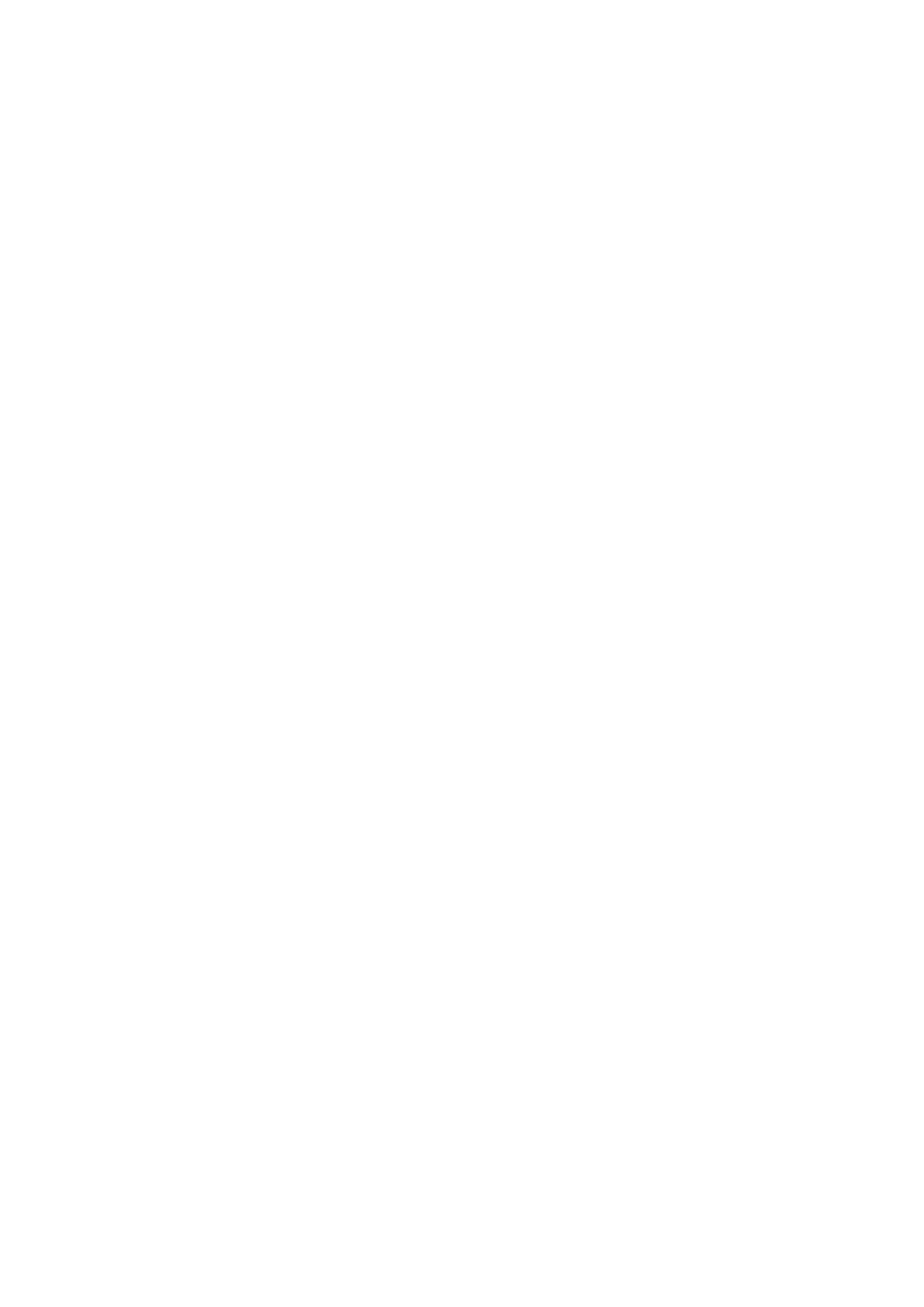ing. Thus, it is necessary to find a reasonable compromise, which would include a parameter of "reasonable labour" to determine the yield on the reference area, including consideration for the harvesting technique, in particular the width of the harvesting machine. The proposed method was created as a thought experiment based on the study of literature review and experience with other methods. For implementation it needs to be tested and statistically evaluated.

## **Proposed Comparison method of Yields in One Area**

The amount of damage is calculated from the difference between the yields of the damaged area and the undamaged reference area. Undamaged parts of the observed field are used as reference areas, but only if there is a comparable yield potential. To determine the similarity of yield potentials, it is recommended to use map data of average potential yields (Fig. 1). This data is becoming more available thanks to the growing precision agriculture and is mostly available online (for example for the Czech Republic they can be found at www.agrihub.cz). In the selected area, we use GIS to determine the standard deviation or a coefficient of variation, which determines the homogeneity degree of the particular field. Based on these quantities and the required accuracy, we then determine the size of the compared area. We placed the reference area in the field outside the damaged areas while taking into account the potential yield according to the yield map. This increased the accuracy of the damage quantification even further (Fig. 2).

For risk areas, where severe damage is very likely, an undamaged part can be fenced off in advance. At the same time, care should be taken to ensure that the crop yield conditions on the reference area are the same as on the damaged area and that the reference area is clearly defined in size and is easily harvestable, e.g. a multiple width of the harvesting machine. The yield of the reference area can also be determined manually from small experimental areas, which should be spaced with regard to field variability. These small areas should be checked in the reference area and also in the damaged areas and the aim is only to compare the yield potential. Thus, it is possible and preferable to present the result of such a comparison in relative values (%), rather than in absolute yield. This eliminates any possible errors in the yield estimation for the manual experimental method and also for the standard harvesting technique. If the yield and the damage are inhomogeneous in the observed field, then it would not be possible to set a sufficiently large reference area there, and thus, this method would be unsuitable.